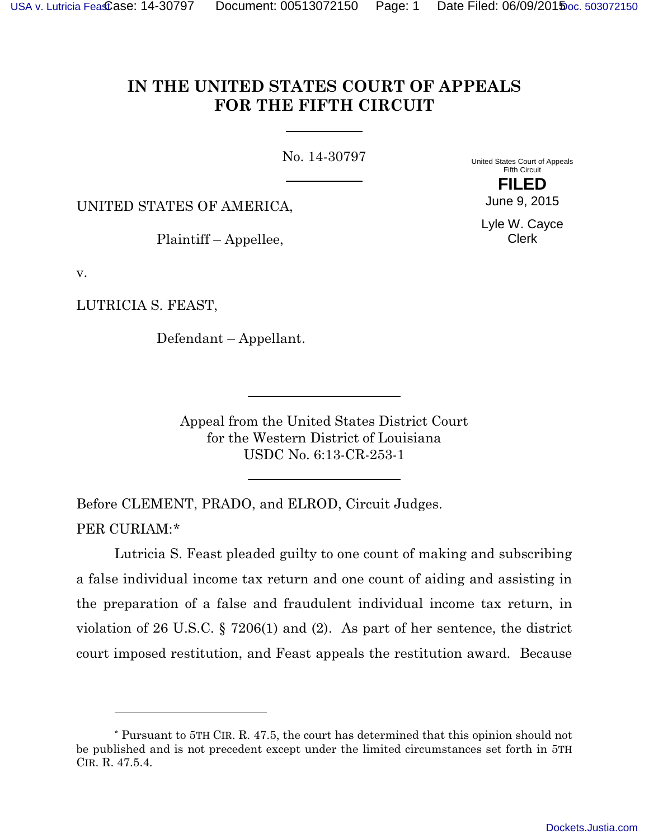# **IN THE UNITED STATES COURT OF APPEALS FOR THE FIFTH CIRCUIT**

No. 14-30797

United States Court of Appeals Fifth Circuit **FILED**

UNITED STATES OF AMERICA,

Plaintiff – Appellee,

June 9, 2015

Lyle W. Cayce Clerk

v.

LUTRICIA S. FEAST,

-

Defendant – Appellant.

Appeal from the United States District Court for the Western District of Louisiana USDC No. 6:13-CR-253-1

Before CLEMENT, PRADO, and ELROD, Circuit Judges. PER CURIAM:[\\*](#page-0-0)

Lutricia S. Feast pleaded guilty to one count of making and subscribing a false individual income tax return and one count of aiding and assisting in the preparation of a false and fraudulent individual income tax return, in violation of 26 U.S.C. § 7206(1) and (2). As part of her sentence, the district court imposed restitution, and Feast appeals the restitution award. Because

<span id="page-0-0"></span><sup>\*</sup> Pursuant to 5TH CIR. R. 47.5, the court has determined that this opinion should not be published and is not precedent except under the limited circumstances set forth in 5TH CIR. R. 47.5.4.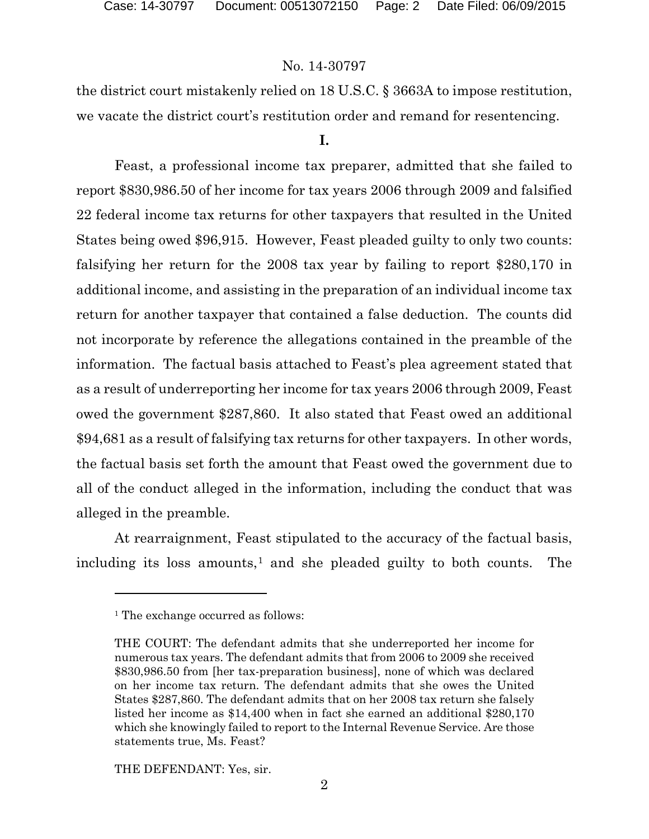# No. 14-30797

the district court mistakenly relied on 18 U.S.C. § 3663A to impose restitution, we vacate the district court's restitution order and remand for resentencing.

#### **I.**

Feast, a professional income tax preparer, admitted that she failed to report \$830,986.50 of her income for tax years 2006 through 2009 and falsified 22 federal income tax returns for other taxpayers that resulted in the United States being owed \$96,915. However, Feast pleaded guilty to only two counts: falsifying her return for the 2008 tax year by failing to report \$280,170 in additional income, and assisting in the preparation of an individual income tax return for another taxpayer that contained a false deduction. The counts did not incorporate by reference the allegations contained in the preamble of the information. The factual basis attached to Feast's plea agreement stated that as a result of underreporting her income for tax years 2006 through 2009, Feast owed the government \$287,860. It also stated that Feast owed an additional \$94,681 as a result of falsifying tax returns for other taxpayers. In other words, the factual basis set forth the amount that Feast owed the government due to all of the conduct alleged in the information, including the conduct that was alleged in the preamble.

<span id="page-1-0"></span>At rearraignment, Feast stipulated to the accuracy of the factual basis, including its loss amounts,<sup>[1](#page-1-0)</sup> and she pleaded guilty to both counts. The

-

THE DEFENDANT: Yes, sir.

<sup>&</sup>lt;sup>1</sup> The exchange occurred as follows:

THE COURT: The defendant admits that she underreported her income for numerous tax years. The defendant admits that from 2006 to 2009 she received \$830,986.50 from [her tax-preparation business], none of which was declared on her income tax return. The defendant admits that she owes the United States \$287,860. The defendant admits that on her 2008 tax return she falsely listed her income as \$14,400 when in fact she earned an additional \$280,170 which she knowingly failed to report to the Internal Revenue Service. Are those statements true, Ms. Feast?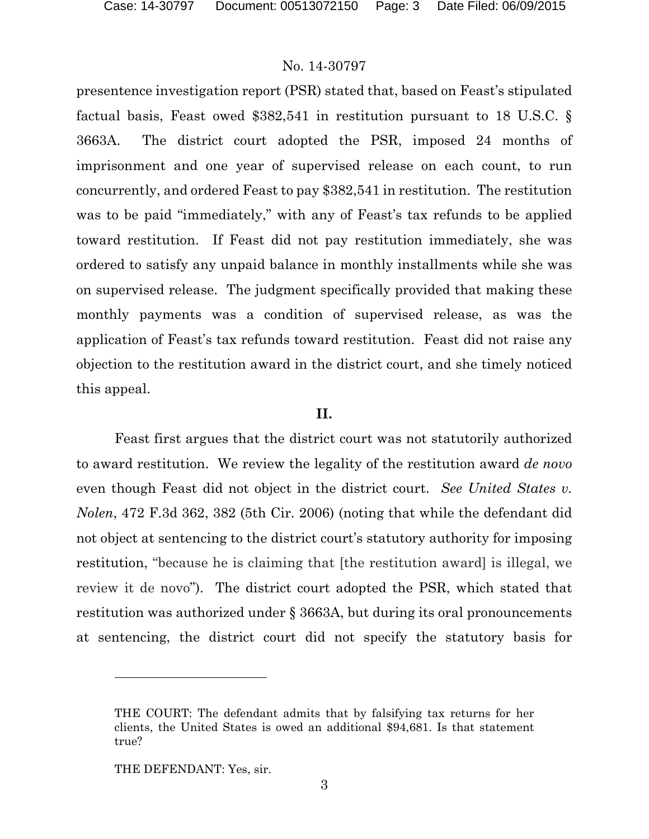## No. 14-30797

presentence investigation report (PSR) stated that, based on Feast's stipulated factual basis, Feast owed \$382,541 in restitution pursuant to 18 U.S.C. § 3663A. The district court adopted the PSR, imposed 24 months of imprisonment and one year of supervised release on each count, to run concurrently, and ordered Feast to pay \$382,541 in restitution. The restitution was to be paid "immediately," with any of Feast's tax refunds to be applied toward restitution. If Feast did not pay restitution immediately, she was ordered to satisfy any unpaid balance in monthly installments while she was on supervised release. The judgment specifically provided that making these monthly payments was a condition of supervised release, as was the application of Feast's tax refunds toward restitution. Feast did not raise any objection to the restitution award in the district court, and she timely noticed this appeal.

#### **II.**

Feast first argues that the district court was not statutorily authorized to award restitution. We review the legality of the restitution award *de novo* even though Feast did not object in the district court. *See United States v. Nolen*, 472 F.3d 362, 382 (5th Cir. 2006) (noting that while the defendant did not object at sentencing to the district court's statutory authority for imposing restitution, "because he is claiming that [the restitution award] is illegal, we review it de novo"). The district court adopted the PSR, which stated that restitution was authorized under § 3663A, but during its oral pronouncements at sentencing, the district court did not specify the statutory basis for

THE DEFENDANT: Yes, sir.

-

THE COURT: The defendant admits that by falsifying tax returns for her clients, the United States is owed an additional \$94,681. Is that statement true?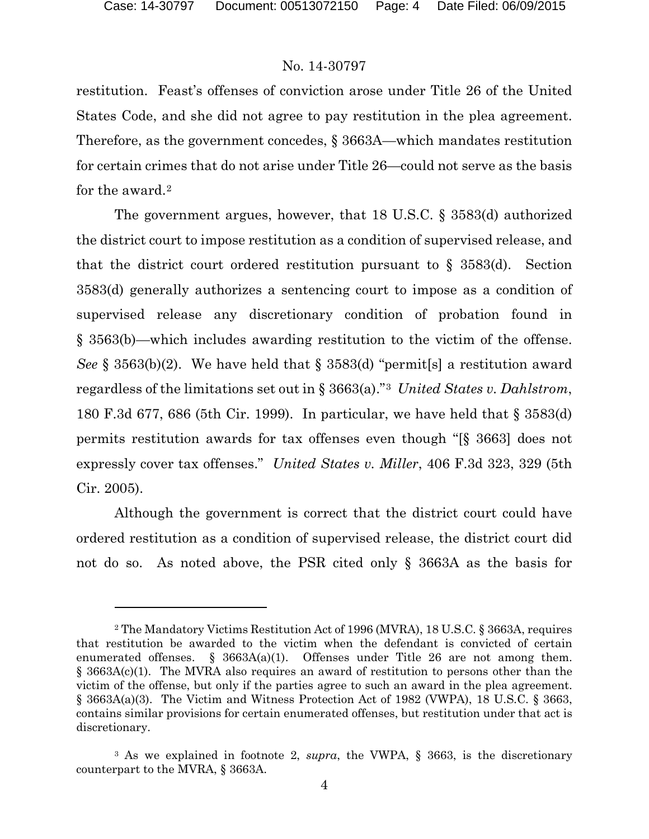-

#### No. 14-30797

restitution. Feast's offenses of conviction arose under Title 26 of the United States Code, and she did not agree to pay restitution in the plea agreement. Therefore, as the government concedes, § 3663A—which mandates restitution for certain crimes that do not arise under Title 26—could not serve as the basis for the award.<sup>[2](#page-3-0)</sup>

The government argues, however, that 18 U.S.C. § 3583(d) authorized the district court to impose restitution as a condition of supervised release, and that the district court ordered restitution pursuant to  $\S$  3583(d). Section 3583(d) generally authorizes a sentencing court to impose as a condition of supervised release any discretionary condition of probation found in § 3563(b)—which includes awarding restitution to the victim of the offense. *See* § 3563(b)(2). We have held that § 3583(d) "permit [s] a restitution award regardless of the limitations set out in § 3663(a)."[3](#page-3-1) *United States v. Dahlstrom*, 180 F.3d 677, 686 (5th Cir. 1999). In particular, we have held that § 3583(d) permits restitution awards for tax offenses even though "[§ 3663] does not expressly cover tax offenses." *United States v. Miller*, 406 F.3d 323, 329 (5th Cir. 2005).

Although the government is correct that the district court could have ordered restitution as a condition of supervised release, the district court did not do so. As noted above, the PSR cited only § 3663A as the basis for

<span id="page-3-0"></span><sup>2</sup> The Mandatory Victims Restitution Act of 1996 (MVRA), 18 U.S.C. § 3663A, requires that restitution be awarded to the victim when the defendant is convicted of certain enumerated offenses. §  $3663A(a)(1)$ . Offenses under Title 26 are not among them. § 3663A(c)(1). The MVRA also requires an award of restitution to persons other than the victim of the offense, but only if the parties agree to such an award in the plea agreement. § 3663A(a)(3). The Victim and Witness Protection Act of 1982 (VWPA), 18 U.S.C. § 3663, contains similar provisions for certain enumerated offenses, but restitution under that act is discretionary.

<span id="page-3-1"></span><sup>3</sup> As we explained in footnote 2, *supra*, the VWPA, § 3663, is the discretionary counterpart to the MVRA, § 3663A.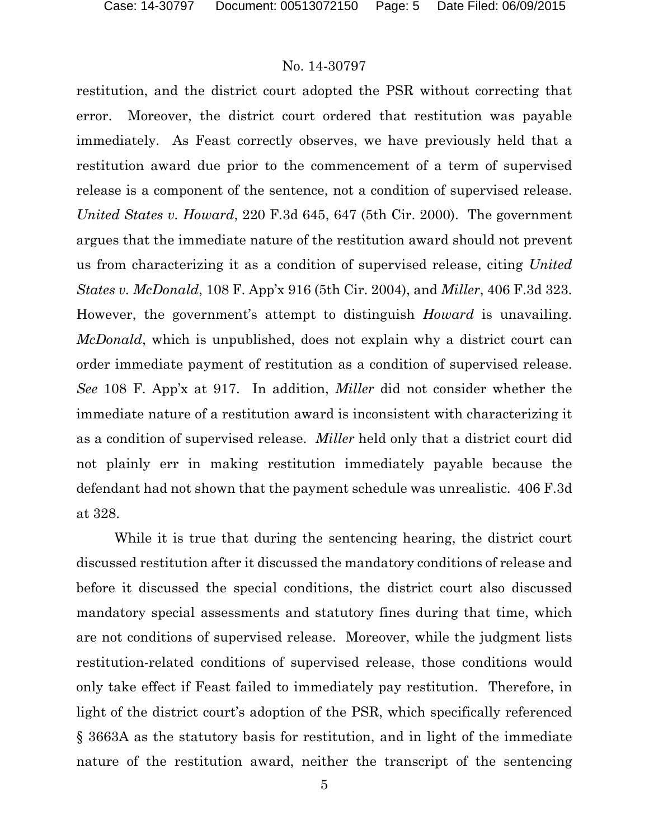#### No. 14-30797

restitution, and the district court adopted the PSR without correcting that error. Moreover, the district court ordered that restitution was payable immediately. As Feast correctly observes, we have previously held that a restitution award due prior to the commencement of a term of supervised release is a component of the sentence, not a condition of supervised release. *United States v. Howard*, 220 F.3d 645, 647 (5th Cir. 2000). The government argues that the immediate nature of the restitution award should not prevent us from characterizing it as a condition of supervised release, citing *United States v. McDonald*, 108 F. App'x 916 (5th Cir. 2004), and *Miller*, 406 F.3d 323. However, the government's attempt to distinguish *Howard* is unavailing. *McDonald*, which is unpublished, does not explain why a district court can order immediate payment of restitution as a condition of supervised release. *See* 108 F. App'x at 917. In addition, *Miller* did not consider whether the immediate nature of a restitution award is inconsistent with characterizing it as a condition of supervised release. *Miller* held only that a district court did not plainly err in making restitution immediately payable because the defendant had not shown that the payment schedule was unrealistic. 406 F.3d at 328.

While it is true that during the sentencing hearing, the district court discussed restitution after it discussed the mandatory conditions of release and before it discussed the special conditions, the district court also discussed mandatory special assessments and statutory fines during that time, which are not conditions of supervised release. Moreover, while the judgment lists restitution-related conditions of supervised release, those conditions would only take effect if Feast failed to immediately pay restitution. Therefore, in light of the district court's adoption of the PSR, which specifically referenced § 3663A as the statutory basis for restitution, and in light of the immediate nature of the restitution award, neither the transcript of the sentencing